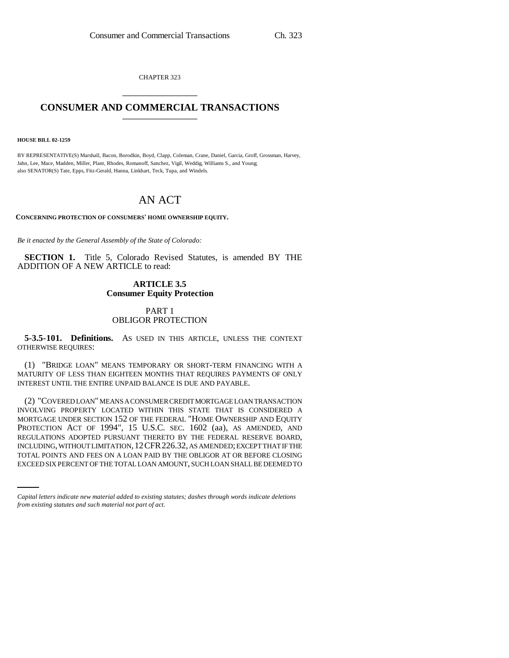CHAPTER 323 \_\_\_\_\_\_\_\_\_\_\_\_\_\_\_

## **CONSUMER AND COMMERCIAL TRANSACTIONS** \_\_\_\_\_\_\_\_\_\_\_\_\_\_\_

**HOUSE BILL 02-1259**

BY REPRESENTATIVE(S) Marshall, Bacon, Borodkin, Boyd, Clapp, Coleman, Crane, Daniel, Garcia, Groff, Grossman, Harvey, Jahn, Lee, Mace, Madden, Miller, Plant, Rhodes, Romanoff, Sanchez, Vigil, Weddig, Williams S., and Young; also SENATOR(S) Tate, Epps, Fitz-Gerald, Hanna, Linkhart, Teck, Tupa, and Windels.

# AN ACT

**CONCERNING PROTECTION OF CONSUMERS' HOME OWNERSHIP EQUITY.**

*Be it enacted by the General Assembly of the State of Colorado:*

**SECTION 1.** Title 5, Colorado Revised Statutes, is amended BY THE ADDITION OF A NEW ARTICLE to read:

### **ARTICLE 3.5 Consumer Equity Protection**

#### PART 1 OBLIGOR PROTECTION

**5-3.5-101. Definitions.** AS USED IN THIS ARTICLE, UNLESS THE CONTEXT OTHERWISE REQUIRES:

(1) "BRIDGE LOAN" MEANS TEMPORARY OR SHORT-TERM FINANCING WITH A MATURITY OF LESS THAN EIGHTEEN MONTHS THAT REQUIRES PAYMENTS OF ONLY INTEREST UNTIL THE ENTIRE UNPAID BALANCE IS DUE AND PAYABLE.

INCLUDING, WITHOUT LIMITATION,12CFR226.32, AS AMENDED; EXCEPT THAT IF THE (2) "COVERED LOAN" MEANS A CONSUMER CREDIT MORTGAGE LOAN TRANSACTION INVOLVING PROPERTY LOCATED WITHIN THIS STATE THAT IS CONSIDERED A MORTGAGE UNDER SECTION 152 OF THE FEDERAL "HOME OWNERSHIP AND EQUITY PROTECTION ACT OF 1994", 15 U.S.C. SEC. 1602 (aa), AS AMENDED, AND REGULATIONS ADOPTED PURSUANT THERETO BY THE FEDERAL RESERVE BOARD, TOTAL POINTS AND FEES ON A LOAN PAID BY THE OBLIGOR AT OR BEFORE CLOSING EXCEED SIX PERCENT OF THE TOTAL LOAN AMOUNT, SUCH LOAN SHALL BE DEEMED TO

*Capital letters indicate new material added to existing statutes; dashes through words indicate deletions from existing statutes and such material not part of act.*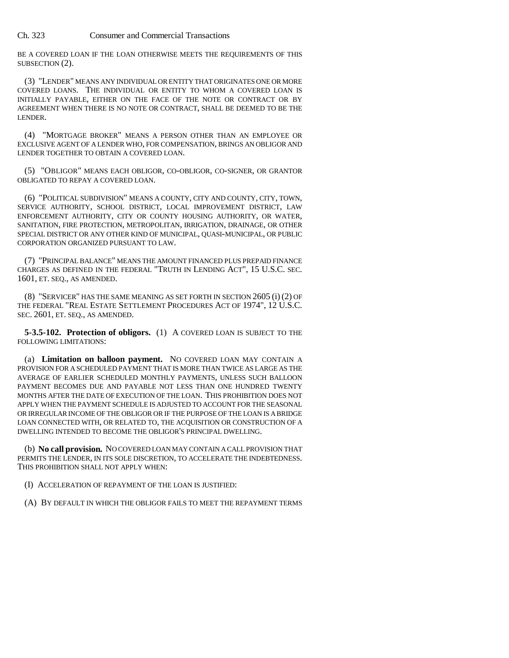Ch. 323 Consumer and Commercial Transactions

BE A COVERED LOAN IF THE LOAN OTHERWISE MEETS THE REQUIREMENTS OF THIS SUBSECTION (2).

(3) "LENDER" MEANS ANY INDIVIDUAL OR ENTITY THAT ORIGINATES ONE OR MORE COVERED LOANS. THE INDIVIDUAL OR ENTITY TO WHOM A COVERED LOAN IS INITIALLY PAYABLE, EITHER ON THE FACE OF THE NOTE OR CONTRACT OR BY AGREEMENT WHEN THERE IS NO NOTE OR CONTRACT, SHALL BE DEEMED TO BE THE LENDER.

(4) "MORTGAGE BROKER" MEANS A PERSON OTHER THAN AN EMPLOYEE OR EXCLUSIVE AGENT OF A LENDER WHO, FOR COMPENSATION, BRINGS AN OBLIGOR AND LENDER TOGETHER TO OBTAIN A COVERED LOAN.

(5) "OBLIGOR" MEANS EACH OBLIGOR, CO-OBLIGOR, CO-SIGNER, OR GRANTOR OBLIGATED TO REPAY A COVERED LOAN.

(6) "POLITICAL SUBDIVISION" MEANS A COUNTY, CITY AND COUNTY, CITY, TOWN, SERVICE AUTHORITY, SCHOOL DISTRICT, LOCAL IMPROVEMENT DISTRICT, LAW ENFORCEMENT AUTHORITY, CITY OR COUNTY HOUSING AUTHORITY, OR WATER, SANITATION, FIRE PROTECTION, METROPOLITAN, IRRIGATION, DRAINAGE, OR OTHER SPECIAL DISTRICT OR ANY OTHER KIND OF MUNICIPAL, QUASI-MUNICIPAL, OR PUBLIC CORPORATION ORGANIZED PURSUANT TO LAW.

(7) "PRINCIPAL BALANCE" MEANS THE AMOUNT FINANCED PLUS PREPAID FINANCE CHARGES AS DEFINED IN THE FEDERAL "TRUTH IN LENDING ACT", 15 U.S.C. SEC. 1601, ET. SEQ., AS AMENDED.

(8) "SERVICER" HAS THE SAME MEANING AS SET FORTH IN SECTION 2605 (i) (2) OF THE FEDERAL "REAL ESTATE SETTLEMENT PROCEDURES ACT OF 1974", 12 U.S.C. SEC. 2601, ET. SEQ., AS AMENDED.

**5-3.5-102. Protection of obligors.** (1) A COVERED LOAN IS SUBJECT TO THE FOLLOWING LIMITATIONS:

(a) **Limitation on balloon payment.** NO COVERED LOAN MAY CONTAIN A PROVISION FOR A SCHEDULED PAYMENT THAT IS MORE THAN TWICE AS LARGE AS THE AVERAGE OF EARLIER SCHEDULED MONTHLY PAYMENTS, UNLESS SUCH BALLOON PAYMENT BECOMES DUE AND PAYABLE NOT LESS THAN ONE HUNDRED TWENTY MONTHS AFTER THE DATE OF EXECUTION OF THE LOAN. THIS PROHIBITION DOES NOT APPLY WHEN THE PAYMENT SCHEDULE IS ADJUSTED TO ACCOUNT FOR THE SEASONAL OR IRREGULAR INCOME OF THE OBLIGOR OR IF THE PURPOSE OF THE LOAN IS A BRIDGE LOAN CONNECTED WITH, OR RELATED TO, THE ACQUISITION OR CONSTRUCTION OF A DWELLING INTENDED TO BECOME THE OBLIGOR'S PRINCIPAL DWELLING.

(b) **No call provision.** NO COVERED LOAN MAY CONTAIN A CALL PROVISION THAT PERMITS THE LENDER, IN ITS SOLE DISCRETION, TO ACCELERATE THE INDEBTEDNESS. THIS PROHIBITION SHALL NOT APPLY WHEN:

(I) ACCELERATION OF REPAYMENT OF THE LOAN IS JUSTIFIED:

(A) BY DEFAULT IN WHICH THE OBLIGOR FAILS TO MEET THE REPAYMENT TERMS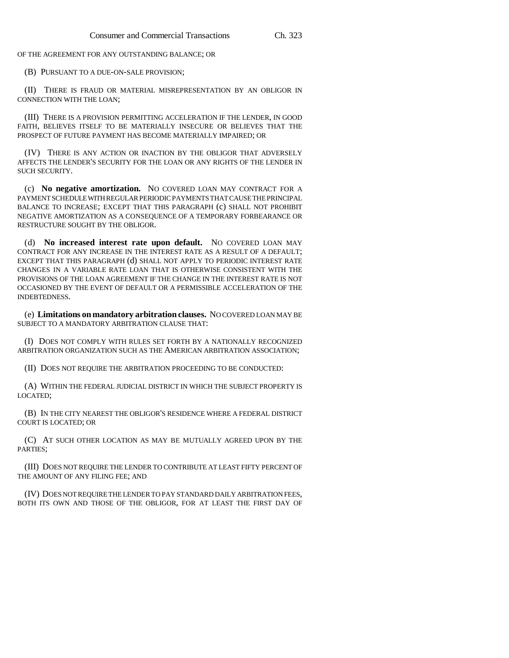OF THE AGREEMENT FOR ANY OUTSTANDING BALANCE; OR

(B) PURSUANT TO A DUE-ON-SALE PROVISION;

(II) THERE IS FRAUD OR MATERIAL MISREPRESENTATION BY AN OBLIGOR IN CONNECTION WITH THE LOAN;

(III) THERE IS A PROVISION PERMITTING ACCELERATION IF THE LENDER, IN GOOD FAITH, BELIEVES ITSELF TO BE MATERIALLY INSECURE OR BELIEVES THAT THE PROSPECT OF FUTURE PAYMENT HAS BECOME MATERIALLY IMPAIRED; OR

(IV) THERE IS ANY ACTION OR INACTION BY THE OBLIGOR THAT ADVERSELY AFFECTS THE LENDER'S SECURITY FOR THE LOAN OR ANY RIGHTS OF THE LENDER IN SUCH SECURITY.

(c) **No negative amortization.** NO COVERED LOAN MAY CONTRACT FOR A PAYMENT SCHEDULE WITH REGULAR PERIODIC PAYMENTS THAT CAUSE THE PRINCIPAL BALANCE TO INCREASE; EXCEPT THAT THIS PARAGRAPH (c) SHALL NOT PROHIBIT NEGATIVE AMORTIZATION AS A CONSEQUENCE OF A TEMPORARY FORBEARANCE OR RESTRUCTURE SOUGHT BY THE OBLIGOR.

(d) **No increased interest rate upon default.** NO COVERED LOAN MAY CONTRACT FOR ANY INCREASE IN THE INTEREST RATE AS A RESULT OF A DEFAULT; EXCEPT THAT THIS PARAGRAPH (d) SHALL NOT APPLY TO PERIODIC INTEREST RATE CHANGES IN A VARIABLE RATE LOAN THAT IS OTHERWISE CONSISTENT WITH THE PROVISIONS OF THE LOAN AGREEMENT IF THE CHANGE IN THE INTEREST RATE IS NOT OCCASIONED BY THE EVENT OF DEFAULT OR A PERMISSIBLE ACCELERATION OF THE INDEBTEDNESS.

(e) **Limitations on mandatory arbitration clauses.** NO COVERED LOAN MAY BE SUBJECT TO A MANDATORY ARBITRATION CLAUSE THAT:

(I) DOES NOT COMPLY WITH RULES SET FORTH BY A NATIONALLY RECOGNIZED ARBITRATION ORGANIZATION SUCH AS THE AMERICAN ARBITRATION ASSOCIATION;

(II) DOES NOT REQUIRE THE ARBITRATION PROCEEDING TO BE CONDUCTED:

(A) WITHIN THE FEDERAL JUDICIAL DISTRICT IN WHICH THE SUBJECT PROPERTY IS LOCATED;

(B) IN THE CITY NEAREST THE OBLIGOR'S RESIDENCE WHERE A FEDERAL DISTRICT COURT IS LOCATED; OR

(C) AT SUCH OTHER LOCATION AS MAY BE MUTUALLY AGREED UPON BY THE PARTIES;

(III) DOES NOT REQUIRE THE LENDER TO CONTRIBUTE AT LEAST FIFTY PERCENT OF THE AMOUNT OF ANY FILING FEE; AND

(IV) DOES NOT REQUIRE THE LENDER TO PAY STANDARD DAILY ARBITRATION FEES, BOTH ITS OWN AND THOSE OF THE OBLIGOR, FOR AT LEAST THE FIRST DAY OF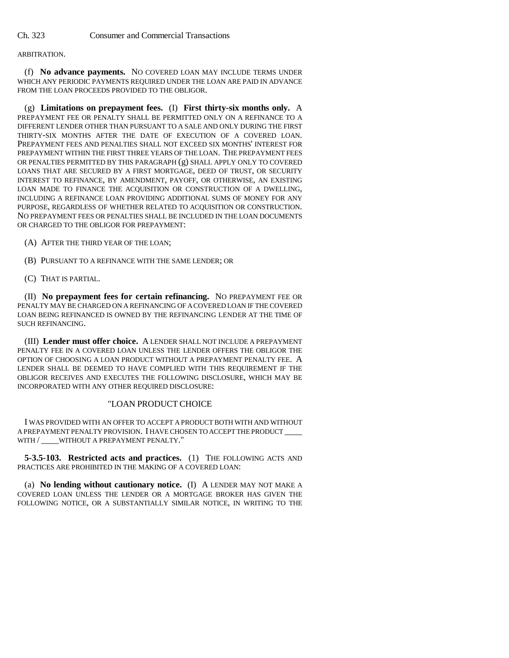#### ARBITRATION.

(f) **No advance payments.** NO COVERED LOAN MAY INCLUDE TERMS UNDER WHICH ANY PERIODIC PAYMENTS REQUIRED UNDER THE LOAN ARE PAID IN ADVANCE FROM THE LOAN PROCEEDS PROVIDED TO THE OBLIGOR.

(g) **Limitations on prepayment fees.** (I) **First thirty-six months only.** A PREPAYMENT FEE OR PENALTY SHALL BE PERMITTED ONLY ON A REFINANCE TO A DIFFERENT LENDER OTHER THAN PURSUANT TO A SALE AND ONLY DURING THE FIRST THIRTY-SIX MONTHS AFTER THE DATE OF EXECUTION OF A COVERED LOAN. PREPAYMENT FEES AND PENALTIES SHALL NOT EXCEED SIX MONTHS' INTEREST FOR PREPAYMENT WITHIN THE FIRST THREE YEARS OF THE LOAN. THE PREPAYMENT FEES OR PENALTIES PERMITTED BY THIS PARAGRAPH (g) SHALL APPLY ONLY TO COVERED LOANS THAT ARE SECURED BY A FIRST MORTGAGE, DEED OF TRUST, OR SECURITY INTEREST TO REFINANCE, BY AMENDMENT, PAYOFF, OR OTHERWISE, AN EXISTING LOAN MADE TO FINANCE THE ACQUISITION OR CONSTRUCTION OF A DWELLING, INCLUDING A REFINANCE LOAN PROVIDING ADDITIONAL SUMS OF MONEY FOR ANY PURPOSE, REGARDLESS OF WHETHER RELATED TO ACQUISITION OR CONSTRUCTION. NO PREPAYMENT FEES OR PENALTIES SHALL BE INCLUDED IN THE LOAN DOCUMENTS OR CHARGED TO THE OBLIGOR FOR PREPAYMENT:

- (A) AFTER THE THIRD YEAR OF THE LOAN;
- (B) PURSUANT TO A REFINANCE WITH THE SAME LENDER; OR
- (C) THAT IS PARTIAL.

(II) **No prepayment fees for certain refinancing.** NO PREPAYMENT FEE OR PENALTY MAY BE CHARGED ON A REFINANCING OF A COVERED LOAN IF THE COVERED LOAN BEING REFINANCED IS OWNED BY THE REFINANCING LENDER AT THE TIME OF SUCH REFINANCING.

(III) **Lender must offer choice.** A LENDER SHALL NOT INCLUDE A PREPAYMENT PENALTY FEE IN A COVERED LOAN UNLESS THE LENDER OFFERS THE OBLIGOR THE OPTION OF CHOOSING A LOAN PRODUCT WITHOUT A PREPAYMENT PENALTY FEE. A LENDER SHALL BE DEEMED TO HAVE COMPLIED WITH THIS REQUIREMENT IF THE OBLIGOR RECEIVES AND EXECUTES THE FOLLOWING DISCLOSURE, WHICH MAY BE INCORPORATED WITH ANY OTHER REQUIRED DISCLOSURE:

#### "LOAN PRODUCT CHOICE

I WAS PROVIDED WITH AN OFFER TO ACCEPT A PRODUCT BOTH WITH AND WITHOUT A PREPAYMENT PENALTY PROVISION. I HAVE CHOSEN TO ACCEPT THE PRODUCT \_\_\_\_ WITH / WITHOUT A PREPAYMENT PENALTY."

**5-3.5-103. Restricted acts and practices.** (1) THE FOLLOWING ACTS AND PRACTICES ARE PROHIBITED IN THE MAKING OF A COVERED LOAN:

(a) **No lending without cautionary notice.** (I) A LENDER MAY NOT MAKE A COVERED LOAN UNLESS THE LENDER OR A MORTGAGE BROKER HAS GIVEN THE FOLLOWING NOTICE, OR A SUBSTANTIALLY SIMILAR NOTICE, IN WRITING TO THE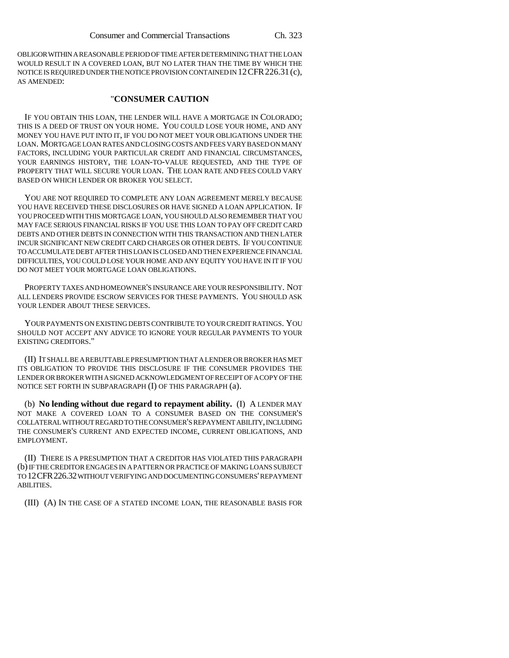OBLIGOR WITHIN A REASONABLE PERIOD OF TIME AFTER DETERMINING THAT THE LOAN WOULD RESULT IN A COVERED LOAN, BUT NO LATER THAN THE TIME BY WHICH THE NOTICE IS REQUIRED UNDER THE NOTICE PROVISION CONTAINED IN 12CFR226.31(c), AS AMENDED:

#### "**CONSUMER CAUTION**

IF YOU OBTAIN THIS LOAN, THE LENDER WILL HAVE A MORTGAGE IN COLORADO; THIS IS A DEED OF TRUST ON YOUR HOME. YOU COULD LOSE YOUR HOME, AND ANY MONEY YOU HAVE PUT INTO IT, IF YOU DO NOT MEET YOUR OBLIGATIONS UNDER THE LOAN. MORTGAGE LOAN RATES AND CLOSING COSTS AND FEES VARY BASED ON MANY FACTORS, INCLUDING YOUR PARTICULAR CREDIT AND FINANCIAL CIRCUMSTANCES, YOUR EARNINGS HISTORY, THE LOAN-TO-VALUE REQUESTED, AND THE TYPE OF PROPERTY THAT WILL SECURE YOUR LOAN. THE LOAN RATE AND FEES COULD VARY BASED ON WHICH LENDER OR BROKER YOU SELECT.

YOU ARE NOT REQUIRED TO COMPLETE ANY LOAN AGREEMENT MERELY BECAUSE YOU HAVE RECEIVED THESE DISCLOSURES OR HAVE SIGNED A LOAN APPLICATION. IF YOU PROCEED WITH THIS MORTGAGE LOAN, YOU SHOULD ALSO REMEMBER THAT YOU MAY FACE SERIOUS FINANCIAL RISKS IF YOU USE THIS LOAN TO PAY OFF CREDIT CARD DEBTS AND OTHER DEBTS IN CONNECTION WITH THIS TRANSACTION AND THEN LATER INCUR SIGNIFICANT NEW CREDIT CARD CHARGES OR OTHER DEBTS. IF YOU CONTINUE TO ACCUMULATE DEBT AFTER THIS LOAN IS CLOSED AND THEN EXPERIENCE FINANCIAL DIFFICULTIES, YOU COULD LOSE YOUR HOME AND ANY EQUITY YOU HAVE IN IT IF YOU DO NOT MEET YOUR MORTGAGE LOAN OBLIGATIONS.

PROPERTY TAXES AND HOMEOWNER'S INSURANCE ARE YOUR RESPONSIBILITY. NOT ALL LENDERS PROVIDE ESCROW SERVICES FOR THESE PAYMENTS. YOU SHOULD ASK YOUR LENDER ABOUT THESE SERVICES.

YOUR PAYMENTS ON EXISTING DEBTS CONTRIBUTE TO YOUR CREDIT RATINGS. YOU SHOULD NOT ACCEPT ANY ADVICE TO IGNORE YOUR REGULAR PAYMENTS TO YOUR EXISTING CREDITORS."

(II) IT SHALL BE A REBUTTABLE PRESUMPTION THAT A LENDER OR BROKER HAS MET ITS OBLIGATION TO PROVIDE THIS DISCLOSURE IF THE CONSUMER PROVIDES THE LENDER OR BROKER WITH A SIGNED ACKNOWLEDGMENT OF RECEIPT OF A COPY OF THE NOTICE SET FORTH IN SUBPARAGRAPH (I) OF THIS PARAGRAPH (a).

(b) **No lending without due regard to repayment ability.** (I) A LENDER MAY NOT MAKE A COVERED LOAN TO A CONSUMER BASED ON THE CONSUMER'S COLLATERAL WITHOUT REGARD TO THE CONSUMER'S REPAYMENT ABILITY, INCLUDING THE CONSUMER'S CURRENT AND EXPECTED INCOME, CURRENT OBLIGATIONS, AND EMPLOYMENT.

(II) THERE IS A PRESUMPTION THAT A CREDITOR HAS VIOLATED THIS PARAGRAPH (b) IF THE CREDITOR ENGAGES IN A PATTERN OR PRACTICE OF MAKING LOANS SUBJECT TO 12CFR226.32 WITHOUT VERIFYING AND DOCUMENTING CONSUMERS' REPAYMENT ABILITIES.

(III) (A) IN THE CASE OF A STATED INCOME LOAN, THE REASONABLE BASIS FOR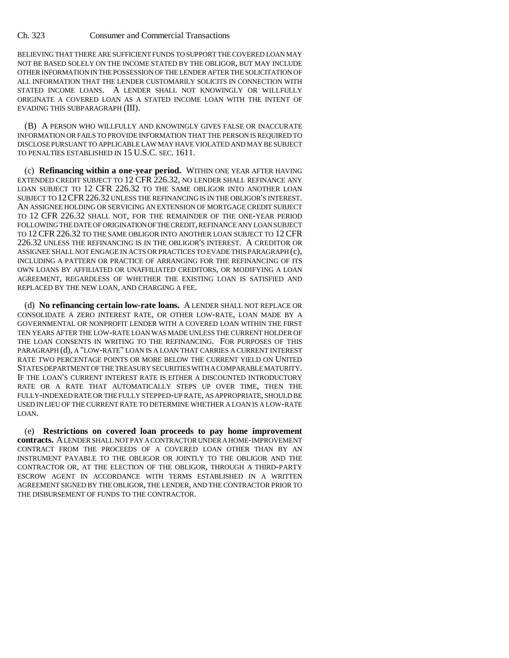BELIEVING THAT THERE ARE SUFFICIENT FUNDS TO SUPPORT THE COVERED LOAN MAY NOT BE BASED SOLELY ON THE INCOME STATED BY THE OBLIGOR, BUT MAY INCLUDE OTHER INFORMATION IN THE POSSESSION OF THE LENDER AFTER THE SOLICITATION OF ALL INFORMATION THAT THE LENDER CUSTOMARILY SOLICITS IN CONNECTION WITH STATED INCOME LOANS. A LENDER SHALL NOT KNOWINGLY OR WILLFULLY ORIGINATE A COVERED LOAN AS A STATED INCOME LOAN WITH THE INTENT OF EVADING THIS SUBPARAGRAPH (III).

(B) A PERSON WHO WILLFULLY AND KNOWINGLY GIVES FALSE OR INACCURATE INFORMATION OR FAILS TO PROVIDE INFORMATION THAT THE PERSON IS REQUIRED TO DISCLOSE PURSUANT TO APPLICABLE LAW MAY HAVE VIOLATED AND MAY BE SUBJECT TO PENALTIES ESTABLISHED IN 15 U.S.C. SEC. 1611.

(c) **Refinancing within a one-year period.** WITHIN ONE YEAR AFTER HAVING EXTENDED CREDIT SUBJECT TO 12 CFR 226.32, NO LENDER SHALL REFINANCE ANY LOAN SUBJECT TO 12 CFR 226.32 TO THE SAME OBLIGOR INTO ANOTHER LOAN SUBJECT TO 12CFR226.32 UNLESS THE REFINANCING IS IN THE OBLIGOR'S INTEREST. AN ASSIGNEE HOLDING OR SERVICING AN EXTENSION OF MORTGAGE CREDIT SUBJECT TO 12 CFR 226.32 SHALL NOT, FOR THE REMAINDER OF THE ONE-YEAR PERIOD FOLLOWING THE DATE OF ORIGINATION OF THE CREDIT, REFINANCE ANY LOAN SUBJECT TO 12 CFR 226.32 TO THE SAME OBLIGOR INTO ANOTHER LOAN SUBJECT TO 12 CFR 226.32 UNLESS THE REFINANCING IS IN THE OBLIGOR'S INTEREST. A CREDITOR OR ASSIGNEE SHALL NOT ENGAGE IN ACTS OR PRACTICES TO EVADE THIS PARAGRAPH (c), INCLUDING A PATTERN OR PRACTICE OF ARRANGING FOR THE REFINANCING OF ITS OWN LOANS BY AFFILIATED OR UNAFFILIATED CREDITORS, OR MODIFYING A LOAN AGREEMENT, REGARDLESS OF WHETHER THE EXISTING LOAN IS SATISFIED AND REPLACED BY THE NEW LOAN, AND CHARGING A FEE.

(d) **No refinancing certain low-rate loans.** A LENDER SHALL NOT REPLACE OR CONSOLIDATE A ZERO INTEREST RATE, OR OTHER LOW-RATE, LOAN MADE BY A GOVERNMENTAL OR NONPROFIT LENDER WITH A COVERED LOAN WITHIN THE FIRST TEN YEARS AFTER THE LOW-RATE LOAN WAS MADE UNLESS THE CURRENT HOLDER OF THE LOAN CONSENTS IN WRITING TO THE REFINANCING. FOR PURPOSES OF THIS PARAGRAPH (d), A "LOW-RATE" LOAN IS A LOAN THAT CARRIES A CURRENT INTEREST RATE TWO PERCENTAGE POINTS OR MORE BELOW THE CURRENT YIELD ON UNITED STATES DEPARTMENT OF THE TREASURY SECURITIES WITH A COMPARABLE MATURITY. IF THE LOAN'S CURRENT INTEREST RATE IS EITHER A DISCOUNTED INTRODUCTORY RATE OR A RATE THAT AUTOMATICALLY STEPS UP OVER TIME, THEN THE FULLY-INDEXED RATE OR THE FULLY STEPPED-UP RATE, AS APPROPRIATE, SHOULD BE USED IN LIEU OF THE CURRENT RATE TO DETERMINE WHETHER A LOAN IS A LOW-RATE LOAN.

(e) **Restrictions on covered loan proceeds to pay home improvement contracts.** A LENDER SHALL NOT PAY A CONTRACTOR UNDER A HOME-IMPROVEMENT CONTRACT FROM THE PROCEEDS OF A COVERED LOAN OTHER THAN BY AN INSTRUMENT PAYABLE TO THE OBLIGOR OR JOINTLY TO THE OBLIGOR AND THE CONTRACTOR OR, AT THE ELECTION OF THE OBLIGOR, THROUGH A THIRD-PARTY ESCROW AGENT IN ACCORDANCE WITH TERMS ESTABLISHED IN A WRITTEN AGREEMENT SIGNED BY THE OBLIGOR, THE LENDER, AND THE CONTRACTOR PRIOR TO THE DISBURSEMENT OF FUNDS TO THE CONTRACTOR.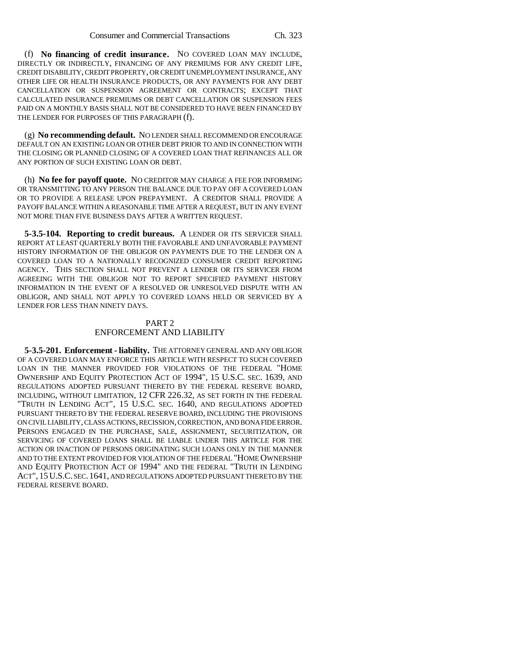(f) **No financing of credit insurance.** NO COVERED LOAN MAY INCLUDE, DIRECTLY OR INDIRECTLY, FINANCING OF ANY PREMIUMS FOR ANY CREDIT LIFE, CREDIT DISABILITY, CREDIT PROPERTY, OR CREDIT UNEMPLOYMENT INSURANCE, ANY OTHER LIFE OR HEALTH INSURANCE PRODUCTS, OR ANY PAYMENTS FOR ANY DEBT CANCELLATION OR SUSPENSION AGREEMENT OR CONTRACTS; EXCEPT THAT CALCULATED INSURANCE PREMIUMS OR DEBT CANCELLATION OR SUSPENSION FEES PAID ON A MONTHLY BASIS SHALL NOT BE CONSIDERED TO HAVE BEEN FINANCED BY THE LENDER FOR PURPOSES OF THIS PARAGRAPH (f).

(g) **No recommending default.** NO LENDER SHALL RECOMMEND OR ENCOURAGE DEFAULT ON AN EXISTING LOAN OR OTHER DEBT PRIOR TO AND IN CONNECTION WITH THE CLOSING OR PLANNED CLOSING OF A COVERED LOAN THAT REFINANCES ALL OR ANY PORTION OF SUCH EXISTING LOAN OR DEBT.

(h) **No fee for payoff quote.** NO CREDITOR MAY CHARGE A FEE FOR INFORMING OR TRANSMITTING TO ANY PERSON THE BALANCE DUE TO PAY OFF A COVERED LOAN OR TO PROVIDE A RELEASE UPON PREPAYMENT. A CREDITOR SHALL PROVIDE A PAYOFF BALANCE WITHIN A REASONABLE TIME AFTER A REQUEST, BUT IN ANY EVENT NOT MORE THAN FIVE BUSINESS DAYS AFTER A WRITTEN REQUEST.

**5-3.5-104. Reporting to credit bureaus.** A LENDER OR ITS SERVICER SHALL REPORT AT LEAST QUARTERLY BOTH THE FAVORABLE AND UNFAVORABLE PAYMENT HISTORY INFORMATION OF THE OBLIGOR ON PAYMENTS DUE TO THE LENDER ON A COVERED LOAN TO A NATIONALLY RECOGNIZED CONSUMER CREDIT REPORTING AGENCY. THIS SECTION SHALL NOT PREVENT A LENDER OR ITS SERVICER FROM AGREEING WITH THE OBLIGOR NOT TO REPORT SPECIFIED PAYMENT HISTORY INFORMATION IN THE EVENT OF A RESOLVED OR UNRESOLVED DISPUTE WITH AN OBLIGOR, AND SHALL NOT APPLY TO COVERED LOANS HELD OR SERVICED BY A LENDER FOR LESS THAN NINETY DAYS.

#### PART 2 ENFORCEMENT AND LIABILITY

**5-3.5-201. Enforcement - liability.** THE ATTORNEY GENERAL AND ANY OBLIGOR OF A COVERED LOAN MAY ENFORCE THIS ARTICLE WITH RESPECT TO SUCH COVERED LOAN IN THE MANNER PROVIDED FOR VIOLATIONS OF THE FEDERAL "HOME OWNERSHIP AND EQUITY PROTECTION ACT OF 1994", 15 U.S.C. SEC. 1639, AND REGULATIONS ADOPTED PURSUANT THERETO BY THE FEDERAL RESERVE BOARD, INCLUDING, WITHOUT LIMITATION, 12 CFR 226.32, AS SET FORTH IN THE FEDERAL "TRUTH IN LENDING ACT", 15 U.S.C. SEC. 1640, AND REGULATIONS ADOPTED PURSUANT THERETO BY THE FEDERAL RESERVE BOARD, INCLUDING THE PROVISIONS ON CIVIL LIABILITY, CLASS ACTIONS, RECISSION, CORRECTION, AND BONA FIDE ERROR. PERSONS ENGAGED IN THE PURCHASE, SALE, ASSIGNMENT, SECURITIZATION, OR SERVICING OF COVERED LOANS SHALL BE LIABLE UNDER THIS ARTICLE FOR THE ACTION OR INACTION OF PERSONS ORIGINATING SUCH LOANS ONLY IN THE MANNER AND TO THE EXTENT PROVIDED FOR VIOLATION OF THE FEDERAL "HOME OWNERSHIP AND EQUITY PROTECTION ACT OF 1994" AND THE FEDERAL "TRUTH IN LENDING ACT", 15U.S.C. SEC.1641, AND REGULATIONS ADOPTED PURSUANT THERETO BY THE FEDERAL RESERVE BOARD.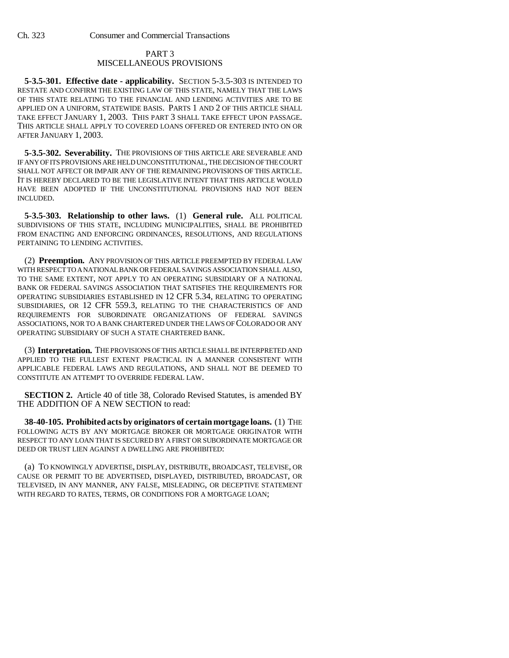#### PART 3 MISCELLANEOUS PROVISIONS

**5-3.5-301. Effective date - applicability.** SECTION 5-3.5-303 IS INTENDED TO RESTATE AND CONFIRM THE EXISTING LAW OF THIS STATE, NAMELY THAT THE LAWS OF THIS STATE RELATING TO THE FINANCIAL AND LENDING ACTIVITIES ARE TO BE APPLIED ON A UNIFORM, STATEWIDE BASIS. PARTS 1 AND 2 OF THIS ARTICLE SHALL TAKE EFFECT JANUARY 1, 2003. THIS PART 3 SHALL TAKE EFFECT UPON PASSAGE. THIS ARTICLE SHALL APPLY TO COVERED LOANS OFFERED OR ENTERED INTO ON OR AFTER JANUARY 1, 2003.

**5-3.5-302. Severability.** THE PROVISIONS OF THIS ARTICLE ARE SEVERABLE AND IF ANY OF ITS PROVISIONS ARE HELD UNCONSTITUTIONAL, THE DECISION OF THE COURT SHALL NOT AFFECT OR IMPAIR ANY OF THE REMAINING PROVISIONS OF THIS ARTICLE. IT IS HEREBY DECLARED TO BE THE LEGISLATIVE INTENT THAT THIS ARTICLE WOULD HAVE BEEN ADOPTED IF THE UNCONSTITUTIONAL PROVISIONS HAD NOT BEEN INCLUDED.

**5-3.5-303. Relationship to other laws.** (1) **General rule.** ALL POLITICAL SUBDIVISIONS OF THIS STATE, INCLUDING MUNICIPALITIES, SHALL BE PROHIBITED FROM ENACTING AND ENFORCING ORDINANCES, RESOLUTIONS, AND REGULATIONS PERTAINING TO LENDING ACTIVITIES.

(2) **Preemption.** ANY PROVISION OF THIS ARTICLE PREEMPTED BY FEDERAL LAW WITH RESPECT TO A NATIONAL BANK OR FEDERAL SAVINGS ASSOCIATION SHALL ALSO, TO THE SAME EXTENT, NOT APPLY TO AN OPERATING SUBSIDIARY OF A NATIONAL BANK OR FEDERAL SAVINGS ASSOCIATION THAT SATISFIES THE REQUIREMENTS FOR OPERATING SUBSIDIARIES ESTABLISHED IN 12 CFR 5.34, RELATING TO OPERATING SUBSIDIARIES, OR 12 CFR 559.3, RELATING TO THE CHARACTERISTICS OF AND REQUIREMENTS FOR SUBORDINATE ORGANIZATIONS OF FEDERAL SAVINGS ASSOCIATIONS, NOR TO A BANK CHARTERED UNDER THE LAWS OF COLORADO OR ANY OPERATING SUBSIDIARY OF SUCH A STATE CHARTERED BANK.

(3) **Interpretation.** THE PROVISIONS OF THIS ARTICLE SHALL BE INTERPRETED AND APPLIED TO THE FULLEST EXTENT PRACTICAL IN A MANNER CONSISTENT WITH APPLICABLE FEDERAL LAWS AND REGULATIONS, AND SHALL NOT BE DEEMED TO CONSTITUTE AN ATTEMPT TO OVERRIDE FEDERAL LAW.

**SECTION 2.** Article 40 of title 38, Colorado Revised Statutes, is amended BY THE ADDITION OF A NEW SECTION to read:

**38-40-105. Prohibited acts by originators of certain mortgage loans.** (1) THE FOLLOWING ACTS BY ANY MORTGAGE BROKER OR MORTGAGE ORIGINATOR WITH RESPECT TO ANY LOAN THAT IS SECURED BY A FIRST OR SUBORDINATE MORTGAGE OR DEED OR TRUST LIEN AGAINST A DWELLING ARE PROHIBITED:

(a) TO KNOWINGLY ADVERTISE, DISPLAY, DISTRIBUTE, BROADCAST, TELEVISE, OR CAUSE OR PERMIT TO BE ADVERTISED, DISPLAYED, DISTRIBUTED, BROADCAST, OR TELEVISED, IN ANY MANNER, ANY FALSE, MISLEADING, OR DECEPTIVE STATEMENT WITH REGARD TO RATES, TERMS, OR CONDITIONS FOR A MORTGAGE LOAN;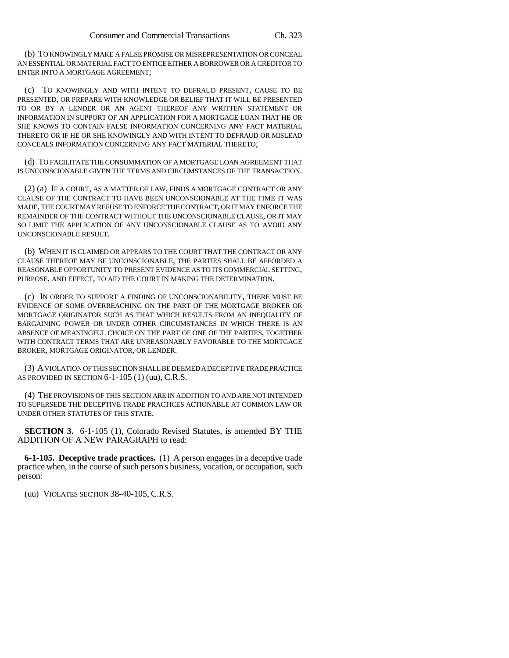(b) TO KNOWINGLY MAKE A FALSE PROMISE OR MISREPRESENTATION OR CONCEAL AN ESSENTIAL OR MATERIAL FACT TO ENTICE EITHER A BORROWER OR A CREDITOR TO ENTER INTO A MORTGAGE AGREEMENT;

(c) TO KNOWINGLY AND WITH INTENT TO DEFRAUD PRESENT, CAUSE TO BE PRESENTED, OR PREPARE WITH KNOWLEDGE OR BELIEF THAT IT WILL BE PRESENTED TO OR BY A LENDER OR AN AGENT THEREOF ANY WRITTEN STATEMENT OR INFORMATION IN SUPPORT OF AN APPLICATION FOR A MORTGAGE LOAN THAT HE OR SHE KNOWS TO CONTAIN FALSE INFORMATION CONCERNING ANY FACT MATERIAL THERETO OR IF HE OR SHE KNOWINGLY AND WITH INTENT TO DEFRAUD OR MISLEAD CONCEALS INFORMATION CONCERNING ANY FACT MATERIAL THERETO;

(d) TO FACILITATE THE CONSUMMATION OF A MORTGAGE LOAN AGREEMENT THAT IS UNCONSCIONABLE GIVEN THE TERMS AND CIRCUMSTANCES OF THE TRANSACTION.

(2) (a) IF A COURT, AS A MATTER OF LAW, FINDS A MORTGAGE CONTRACT OR ANY CLAUSE OF THE CONTRACT TO HAVE BEEN UNCONSCIONABLE AT THE TIME IT WAS MADE, THE COURT MAY REFUSE TO ENFORCE THE CONTRACT, OR IT MAY ENFORCE THE REMAINDER OF THE CONTRACT WITHOUT THE UNCONSCIONABLE CLAUSE, OR IT MAY SO LIMIT THE APPLICATION OF ANY UNCONSCIONABLE CLAUSE AS TO AVOID ANY UNCONSCIONABLE RESULT.

(b) WHEN IT IS CLAIMED OR APPEARS TO THE COURT THAT THE CONTRACT OR ANY CLAUSE THEREOF MAY BE UNCONSCIONABLE, THE PARTIES SHALL BE AFFORDED A REASONABLE OPPORTUNITY TO PRESENT EVIDENCE AS TO ITS COMMERCIAL SETTING, PURPOSE, AND EFFECT, TO AID THE COURT IN MAKING THE DETERMINATION.

(c) IN ORDER TO SUPPORT A FINDING OF UNCONSCIONABILITY, THERE MUST BE EVIDENCE OF SOME OVERREACHING ON THE PART OF THE MORTGAGE BROKER OR MORTGAGE ORIGINATOR SUCH AS THAT WHICH RESULTS FROM AN INEQUALITY OF BARGAINING POWER OR UNDER OTHER CIRCUMSTANCES IN WHICH THERE IS AN ABSENCE OF MEANINGFUL CHOICE ON THE PART OF ONE OF THE PARTIES, TOGETHER WITH CONTRACT TERMS THAT ARE UNREASONABLY FAVORABLE TO THE MORTGAGE BROKER, MORTGAGE ORIGINATOR, OR LENDER.

(3) A VIOLATION OF THIS SECTION SHALL BE DEEMED A DECEPTIVE TRADE PRACTICE AS PROVIDED IN SECTION 6-1-105 (1) (uu), C.R.S.

(4) THE PROVISIONS OF THIS SECTION ARE IN ADDITION TO AND ARE NOT INTENDED TO SUPERSEDE THE DECEPTIVE TRADE PRACTICES ACTIONABLE AT COMMON LAW OR UNDER OTHER STATUTES OF THIS STATE.

**SECTION 3.** 6-1-105 (1), Colorado Revised Statutes, is amended BY THE ADDITION OF A NEW PARAGRAPH to read:

**6-1-105. Deceptive trade practices.** (1) A person engages in a deceptive trade practice when, in the course of such person's business, vocation, or occupation, such person:

(uu) VIOLATES SECTION 38-40-105, C.R.S.